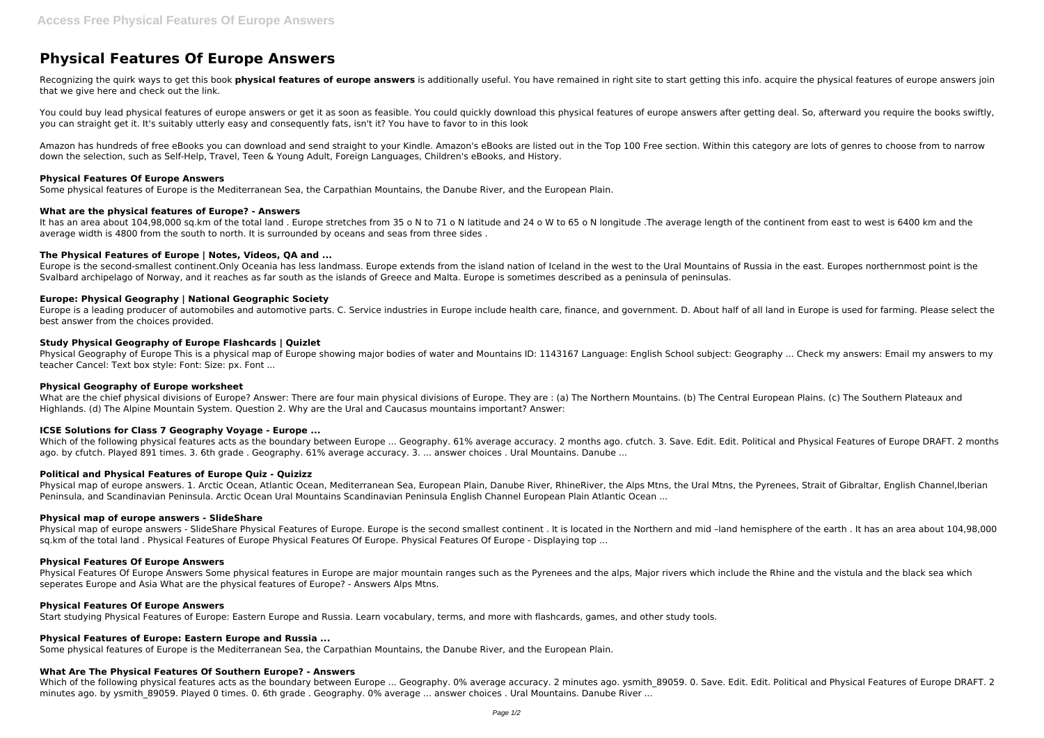# **Physical Features Of Europe Answers**

Recognizing the quirk ways to get this book **physical features of europe answers** is additionally useful. You have remained in right site to start getting this info. acquire the physical features of europe answers join that we give here and check out the link.

You could buy lead physical features of europe answers or get it as soon as feasible. You could quickly download this physical features of europe answers after getting deal. So, afterward you require the books swiftly, you can straight get it. It's suitably utterly easy and consequently fats, isn't it? You have to favor to in this look

It has an area about 104,98,000 sq.km of the total land . Europe stretches from 35 o N to 71 o N latitude and 24 o W to 65 o N longitude .The average length of the continent from east to west is 6400 km and the average width is 4800 from the south to north. It is surrounded by oceans and seas from three sides .

Amazon has hundreds of free eBooks you can download and send straight to your Kindle. Amazon's eBooks are listed out in the Top 100 Free section. Within this category are lots of genres to choose from to narrow down the selection, such as Self-Help, Travel, Teen & Young Adult, Foreign Languages, Children's eBooks, and History.

# **Physical Features Of Europe Answers**

Some physical features of Europe is the Mediterranean Sea, the Carpathian Mountains, the Danube River, and the European Plain.

#### **What are the physical features of Europe? - Answers**

What are the chief physical divisions of Europe? Answer: There are four main physical divisions of Europe. They are : (a) The Northern Mountains. (b) The Central European Plains. (c) The Southern Plateaux and Highlands. (d) The Alpine Mountain System. Question 2. Why are the Ural and Caucasus mountains important? Answer:

# **The Physical Features of Europe | Notes, Videos, QA and ...**

Which of the following physical features acts as the boundary between Europe ... Geography. 61% average accuracy. 2 months ago. cfutch. 3. Save. Edit. Edit. Political and Physical Features of Europe DRAFT. 2 months ago. by cfutch. Played 891 times. 3. 6th grade . Geography. 61% average accuracy. 3. ... answer choices . Ural Mountains. Danube ...

Europe is the second-smallest continent.Only Oceania has less landmass. Europe extends from the island nation of Iceland in the west to the Ural Mountains of Russia in the east. Europes northernmost point is the Svalbard archipelago of Norway, and it reaches as far south as the islands of Greece and Malta. Europe is sometimes described as a peninsula of peninsulas.

Physical map of europe answers. 1. Arctic Ocean, Atlantic Ocean, Mediterranean Sea, European Plain, Danube River, RhineRiver, the Alps Mtns, the Ural Mtns, the Pyrenees, Strait of Gibraltar, English Channel, Iberian Peninsula, and Scandinavian Peninsula. Arctic Ocean Ural Mountains Scandinavian Peninsula English Channel European Plain Atlantic Ocean ...

# **Europe: Physical Geography | National Geographic Society**

Europe is a leading producer of automobiles and automotive parts. C. Service industries in Europe include health care, finance, and government. D. About half of all land in Europe is used for farming. Please select the best answer from the choices provided.

Physical Features Of Europe Answers Some physical features in Europe are major mountain ranges such as the Pyrenees and the alps, Major rivers which include the Rhine and the vistula and the black sea which seperates Europe and Asia What are the physical features of Europe? - Answers Alps Mtns.

# **Study Physical Geography of Europe Flashcards | Quizlet**

Physical Geography of Europe This is a physical map of Europe showing major bodies of water and Mountains ID: 1143167 Language: English School subject: Geography ... Check my answers: Email my answers to my teacher Cancel: Text box style: Font: Size: px. Font ...

# **Physical Geography of Europe worksheet**

# **ICSE Solutions for Class 7 Geography Voyage - Europe ...**

# **Political and Physical Features of Europe Quiz - Quizizz**

# **Physical map of europe answers - SlideShare**

Physical map of europe answers - SlideShare Physical Features of Europe. Europe is the second smallest continent . It is located in the Northern and mid –land hemisphere of the earth . It has an area about 104,98,000 sq.km of the total land . Physical Features of Europe Physical Features Of Europe. Physical Features Of Europe - Displaying top ...

# **Physical Features Of Europe Answers**

# **Physical Features Of Europe Answers**

Start studying Physical Features of Europe: Eastern Europe and Russia. Learn vocabulary, terms, and more with flashcards, games, and other study tools.

# **Physical Features of Europe: Eastern Europe and Russia ...**

Some physical features of Europe is the Mediterranean Sea, the Carpathian Mountains, the Danube River, and the European Plain.

# **What Are The Physical Features Of Southern Europe? - Answers**

Which of the following physical features acts as the boundary between Europe ... Geography. 0% average accuracy. 2 minutes ago. ysmith 89059. 0. Save. Edit. Edit. Political and Physical Features of Europe DRAFT. 2 minutes ago. by ysmith 89059. Played 0 times. 0. 6th grade . Geography. 0% average ... answer choices . Ural Mountains. Danube River ...